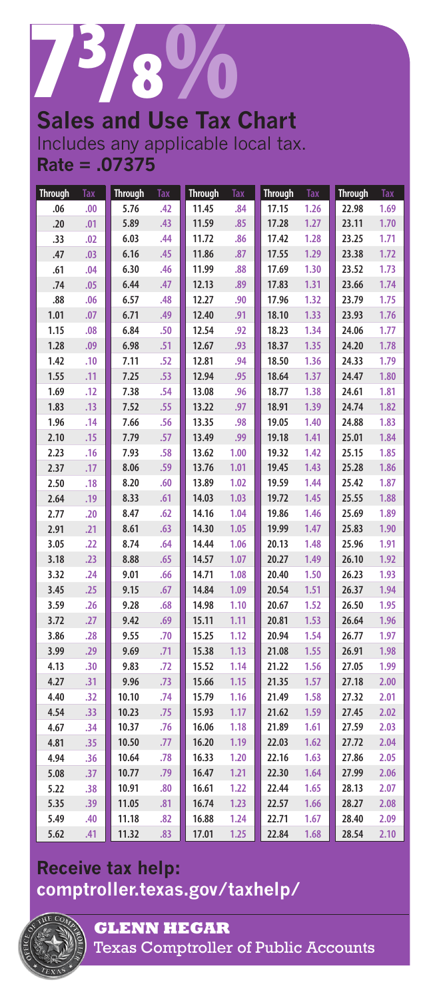

# **Sales and Use Tax Chart**

Includes any applicable local tax. **Rate = .07375**

| <b>Through</b> | Tax | <b>Through</b> | <b>Tax</b> | <b>Through</b> | <b>Tax</b> | <b>Through</b> | Tax  | <b>Through</b> | Tax  |
|----------------|-----|----------------|------------|----------------|------------|----------------|------|----------------|------|
| .06            | .00 | 5.76           | .42        | 11.45          | .84        | 17.15          | 1.26 | 22.98          | 1.69 |
| .20            | .01 | 5.89           | .43        | 11.59          | .85        | 17.28          | 1.27 | 23.11          | 1.70 |
| .33            | .02 | 6.03           | .44        | 11.72          | .86        | 17.42          | 1.28 | 23.25          | 1.71 |
| .47            | .03 | 6.16           | .45        | 11.86          | .87        | 17.55          | 1.29 | 23.38          | 1.72 |
| .61            | .04 | 6.30           | .46        | 11.99          | .88        | 17.69          | 1.30 | 23.52          | 1.73 |
| .74            | .05 | 6.44           | .47        | 12.13          | .89        | 17.83          | 1.31 | 23.66          | 1.74 |
| .88            | .06 | 6.57           | .48        | 12.27          | .90        | 17.96          | 1.32 | 23.79          | 1.75 |
| 1.01           | .07 | 6.71           | .49        | 12.40          | .91        | 18.10          | 1.33 | 23.93          | 1.76 |
| 1.15           | .08 | 6.84           | .50        | 12.54          | .92        | 18.23          | 1.34 | 24.06          | 1.77 |
| 1.28           | .09 | 6.98           | .51        | 12.67          | .93        | 18.37          | 1.35 | 24.20          | 1.78 |
| 1.42           | .10 | 7.11           | .52        | 12.81          | .94        | 18.50          | 1.36 | 24.33          | 1.79 |
| 1.55           | .11 | 7.25           | .53        | 12.94          | .95        | 18.64          | 1.37 | 24.47          | 1.80 |
| 1.69           | .12 | 7.38           | .54        | 13.08          | .96        | 18.77          | 1.38 | 24.61          | 1.81 |
| 1.83           | .13 | 7.52           | .55        | 13.22          | .97        | 18.91          | 1.39 | 24.74          | 1.82 |
| 1.96           | .14 | 7.66           | .56        | 13.35          | .98        | 19.05          | 1.40 | 24.88          | 1.83 |
| 2.10           | .15 | 7.79           | .57        | 13.49          | .99        | 19.18          | 1.41 | 25.01          | 1.84 |
| 2.23           | .16 | 7.93           | .58        | 13.62          | 1.00       | 19.32          | 1.42 | 25.15          | 1.85 |
| 2.37           | .17 | 8.06           | .59        | 13.76          | 1.01       | 19.45          | 1.43 | 25.28          | 1.86 |
| 2.50           | .18 | 8.20           | .60        | 13.89          | 1.02       | 19.59          | 1.44 | 25.42          | 1.87 |
| 2.64           | .19 | 8.33           | .61        | 14.03          | 1.03       | 19.72          | 1.45 | 25.55          | 1.88 |
| 2.77           | .20 | 8.47           | .62        | 14.16          | 1.04       | 19.86          | 1.46 | 25.69          | 1.89 |
| 2.91           | .21 | 8.61           | .63        | 14.30          | 1.05       | 19.99          | 1.47 | 25.83          | 1.90 |
| 3.05           | .22 | 8.74           | .64        | 14.44          | 1.06       | 20.13          | 1.48 | 25.96          | 1.91 |
| 3.18           | .23 | 8.88           | .65        | 14.57          | 1.07       | 20.27          | 1.49 | 26.10          | 1.92 |
| 3.32           | .24 | 9.01           | .66        | 14.71          | 1.08       | 20.40          | 1.50 | 26.23          | 1.93 |
| 3.45           | .25 | 9.15           | .67        | 14.84          | 1.09       | 20.54          | 1.51 | 26.37          | 1.94 |
| 3.59           | .26 | 9.28           | .68        | 14.98          | 1.10       | 20.67          | 1.52 | 26.50          | 1.95 |
| 3.72           | .27 | 9.42           | .69        | 15.11          | 1.11       | 20.81          | 1.53 | 26.64          | 1.96 |
| 3.86           | .28 | 9.55           | .70        | 15.25          | 1.12       | 20.94          | 1.54 | 26.77          | 1.97 |
| 3.99           | .29 | 9.69           | .71        | 15.38          | 1.13       | 21.08          | 1.55 | 26.91          | 1.98 |
| 4.13           | .30 | 9.83           | .72        | 15.52          | 1.14       | 21.22          | 1.56 | 27.05          | 1.99 |
| 4.27           | .31 | 9.96           | .73        | 15.66          | 1.15       | 21.35          | 1.57 | 27.18          | 2.00 |
| 4.40           | .32 | 10.10          | .74        | 15.79          | 1.16       | 21.49          | 1.58 | 27.32          | 2.01 |
| 4.54           | .33 | 10.23          | .75        | 15.93          | 1.17       | 21.62          | 1.59 | 27.45          | 2.02 |
| 4.67           | .34 | 10.37          | .76        | 16.06          | 1.18       | 21.89          | 1.61 | 27.59          | 2.03 |
| 4.81           | .35 | 10.50          | .77        | 16.20          | 1.19       | 22.03          | 1.62 | 27.72          | 2.04 |
| 4.94           | .36 | 10.64          | .78        | 16.33          | 1.20       | 22.16          | 1.63 | 27.86          | 2.05 |
| 5.08           | .37 | 10.77          | .79        | 16.47          | 1.21       | 22.30          | 1.64 | 27.99          | 2.06 |
| 5.22           | .38 | 10.91          | .80        | 16.61          | 1.22       | 22.44          | 1.65 | 28.13          | 2.07 |
| 5.35           | .39 | 11.05          | .81        | 16.74          | 1.23       | 22.57          | 1.66 | 28.27          | 2.08 |
| 5.49           | .40 | 11.18          | .82        | 16.88          | 1.24       | 22.71          | 1.67 | 28.40          | 2.09 |
| 5.62           | .41 | 11.32          | .83        | 17.01          | 1.25       | 22.84          | 1.68 | 28.54          | 2.10 |

## **Receive tax help: [comptroller.texas.gov/taxhelp/](www.comptroller.texas.gov/taxhelp/)**



**GLENN HEGAR**  Texas Comptroller of Public Accounts